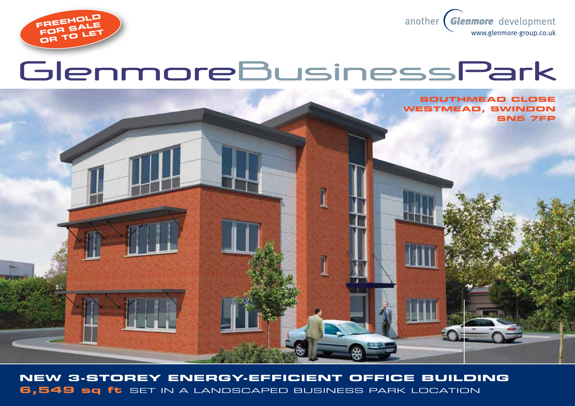



# GlenmoreBusinessPark

**SOUTHMEAD CLOSE Westmead, swindon SN5 7FP**

**New 3-storey energy-efficient office building 6,549 sq ft** set in a landscaped business park location